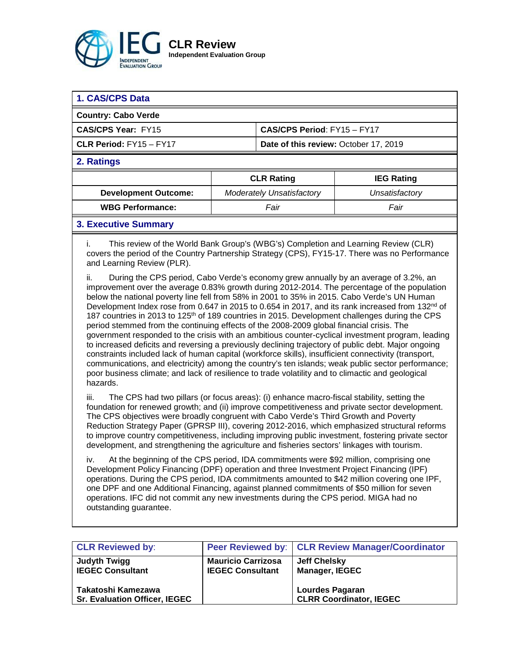

| 1. CAS/CPS Data                                                                                                                                                                                                                                                                                                                                                                                                                                                                                                                                                                                                                                                                                                                                                                                                                 |  |                                  |                   |  |  |
|---------------------------------------------------------------------------------------------------------------------------------------------------------------------------------------------------------------------------------------------------------------------------------------------------------------------------------------------------------------------------------------------------------------------------------------------------------------------------------------------------------------------------------------------------------------------------------------------------------------------------------------------------------------------------------------------------------------------------------------------------------------------------------------------------------------------------------|--|----------------------------------|-------------------|--|--|
| <b>Country: Cabo Verde</b>                                                                                                                                                                                                                                                                                                                                                                                                                                                                                                                                                                                                                                                                                                                                                                                                      |  |                                  |                   |  |  |
| <b>CAS/CPS Year: FY15</b><br>CAS/CPS Period: FY15 - FY17                                                                                                                                                                                                                                                                                                                                                                                                                                                                                                                                                                                                                                                                                                                                                                        |  |                                  |                   |  |  |
| CLR Period: FY15 - FY17<br>Date of this review: October 17, 2019                                                                                                                                                                                                                                                                                                                                                                                                                                                                                                                                                                                                                                                                                                                                                                |  |                                  |                   |  |  |
| 2. Ratings                                                                                                                                                                                                                                                                                                                                                                                                                                                                                                                                                                                                                                                                                                                                                                                                                      |  |                                  |                   |  |  |
|                                                                                                                                                                                                                                                                                                                                                                                                                                                                                                                                                                                                                                                                                                                                                                                                                                 |  | <b>CLR Rating</b>                | <b>IEG Rating</b> |  |  |
| <b>Development Outcome:</b>                                                                                                                                                                                                                                                                                                                                                                                                                                                                                                                                                                                                                                                                                                                                                                                                     |  | <b>Moderately Unsatisfactory</b> | Unsatisfactory    |  |  |
| <b>WBG Performance:</b>                                                                                                                                                                                                                                                                                                                                                                                                                                                                                                                                                                                                                                                                                                                                                                                                         |  | Fair                             | Fair              |  |  |
| <b>3. Executive Summary</b>                                                                                                                                                                                                                                                                                                                                                                                                                                                                                                                                                                                                                                                                                                                                                                                                     |  |                                  |                   |  |  |
| This review of the World Bank Group's (WBG's) Completion and Learning Review (CLR)<br>covers the period of the Country Partnership Strategy (CPS), FY15-17. There was no Performance<br>and Learning Review (PLR).                                                                                                                                                                                                                                                                                                                                                                                                                                                                                                                                                                                                              |  |                                  |                   |  |  |
| ii.<br>During the CPS period, Cabo Verde's economy grew annually by an average of 3.2%, an<br>improvement over the average 0.83% growth during 2012-2014. The percentage of the population<br>below the national poverty line fell from 58% in 2001 to 35% in 2015. Cabo Verde's UN Human<br>Development Index rose from 0.647 in 2015 to 0.654 in 2017, and its rank increased from 132 <sup>nd</sup> of<br>187 countries in 2013 to 125 <sup>th</sup> of 189 countries in 2015. Development challenges during the CPS<br>period stemmed from the continuing effects of the 2008-2009 global financial crisis. The<br>government responded to the crisis with an ambitious counter-cyclical investment program, leading<br>to increased deficits and reversing a previously declining trajectory of public debt. Major ongoing |  |                                  |                   |  |  |

constraints included lack of human capital (workforce skills), insufficient connectivity (transport, communications, and electricity) among the country's ten islands; weak public sector performance; poor business climate; and lack of resilience to trade volatility and to climactic and geological hazards.

iii. The CPS had two pillars (or focus areas): (i) enhance macro-fiscal stability, setting the foundation for renewed growth; and (ii) improve competitiveness and private sector development. The CPS objectives were broadly congruent with Cabo Verde's Third Growth and Poverty Reduction Strategy Paper (GPRSP III), covering 2012-2016, which emphasized structural reforms to improve country competitiveness, including improving public investment, fostering private sector development, and strengthening the agriculture and fisheries sectors' linkages with tourism.

iv. At the beginning of the CPS period, IDA commitments were \$92 million, comprising one Development Policy Financing (DPF) operation and three Investment Project Financing (IPF) operations. During the CPS period, IDA commitments amounted to \$42 million covering one IPF, one DPF and one Additional Financing, against planned commitments of \$50 million for seven operations. IFC did not commit any new investments during the CPS period. MIGA had no outstanding guarantee.

| <b>CLR Reviewed by:</b>                                    |                                                      | Peer Reviewed by: CLR Review Manager/Coordinator         |
|------------------------------------------------------------|------------------------------------------------------|----------------------------------------------------------|
| <b>Judyth Twigg</b><br><b>IEGEC Consultant</b>             | <b>Mauricio Carrizosa</b><br><b>IEGEC Consultant</b> | <b>Jeff Chelsky</b><br><b>Manager, IEGEC</b>             |
| Takatoshi Kamezawa<br><b>Sr. Evaluation Officer, IEGEC</b> |                                                      | <b>Lourdes Pagaran</b><br><b>CLRR Coordinator, IEGEC</b> |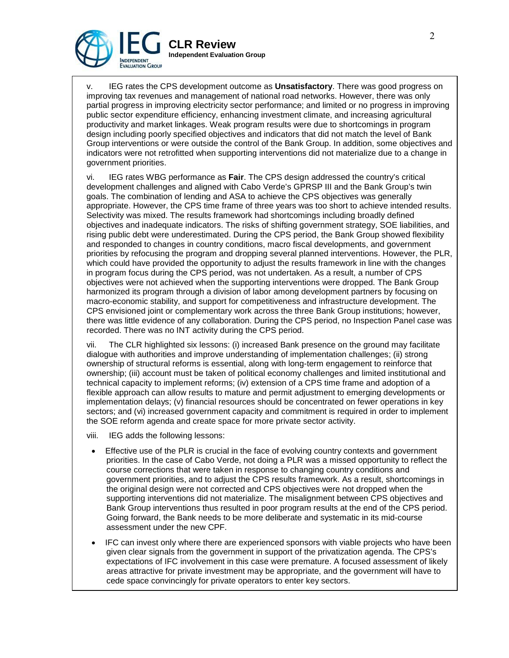

IEG rates the CPS development outcome as **Unsatisfactory**. There was good progress on improving tax revenues and management of national road networks. However, there was only partial progress in improving electricity sector performance; and limited or no progress in improving public sector expenditure efficiency, enhancing investment climate, and increasing agricultural productivity and market linkages. Weak program results were due to shortcomings in program design including poorly specified objectives and indicators that did not match the level of Bank Group interventions or were outside the control of the Bank Group. In addition, some objectives and indicators were not retrofitted when supporting interventions did not materialize due to a change in government priorities.

vi. IEG rates WBG performance as **Fair**. The CPS design addressed the country's critical development challenges and aligned with Cabo Verde's GPRSP III and the Bank Group's twin goals. The combination of lending and ASA to achieve the CPS objectives was generally appropriate. However, the CPS time frame of three years was too short to achieve intended results. Selectivity was mixed. The results framework had shortcomings including broadly defined objectives and inadequate indicators. The risks of shifting government strategy, SOE liabilities, and rising public debt were underestimated. During the CPS period, the Bank Group showed flexibility and responded to changes in country conditions, macro fiscal developments, and government priorities by refocusing the program and dropping several planned interventions. However, the PLR, which could have provided the opportunity to adjust the results framework in line with the changes in program focus during the CPS period, was not undertaken. As a result, a number of CPS objectives were not achieved when the supporting interventions were dropped. The Bank Group harmonized its program through a division of labor among development partners by focusing on macro-economic stability, and support for competitiveness and infrastructure development. The CPS envisioned joint or complementary work across the three Bank Group institutions; however, there was little evidence of any collaboration. During the CPS period, no Inspection Panel case was recorded. There was no INT activity during the CPS period.

vii. The CLR highlighted six lessons: (i) increased Bank presence on the ground may facilitate dialogue with authorities and improve understanding of implementation challenges; (ii) strong ownership of structural reforms is essential, along with long-term engagement to reinforce that ownership; (iii) account must be taken of political economy challenges and limited institutional and technical capacity to implement reforms; (iv) extension of a CPS time frame and adoption of a flexible approach can allow results to mature and permit adjustment to emerging developments or implementation delays; (v) financial resources should be concentrated on fewer operations in key sectors; and (vi) increased government capacity and commitment is required in order to implement the SOE reform agenda and create space for more private sector activity.

- viii. IEG adds the following lessons:
- Effective use of the PLR is crucial in the face of evolving country contexts and government priorities. In the case of Cabo Verde, not doing a PLR was a missed opportunity to reflect the course corrections that were taken in response to changing country conditions and government priorities, and to adjust the CPS results framework. As a result, shortcomings in the original design were not corrected and CPS objectives were not dropped when the supporting interventions did not materialize. The misalignment between CPS objectives and Bank Group interventions thus resulted in poor program results at the end of the CPS period. Going forward, the Bank needs to be more deliberate and systematic in its mid-course assessment under the new CPF.
- IFC can invest only where there are experienced sponsors with viable projects who have been given clear signals from the government in support of the privatization agenda. The CPS's expectations of IFC involvement in this case were premature. A focused assessment of likely areas attractive for private investment may be appropriate, and the government will have to cede space convincingly for private operators to enter key sectors.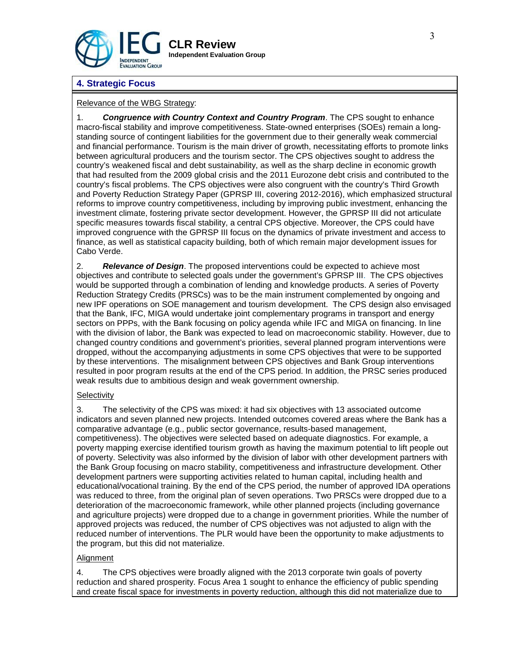

# **4. Strategic Focus**

### Relevance of the WBG Strategy:

1. *Congruence with Country Context and Country Program*. The CPS sought to enhance macro-fiscal stability and improve competitiveness. State-owned enterprises (SOEs) remain a longstanding source of contingent liabilities for the government due to their generally weak commercial and financial performance. Tourism is the main driver of growth, necessitating efforts to promote links between agricultural producers and the tourism sector. The CPS objectives sought to address the country's weakened fiscal and debt sustainability, as well as the sharp decline in economic growth that had resulted from the 2009 global crisis and the 2011 Eurozone debt crisis and contributed to the country's fiscal problems. The CPS objectives were also congruent with the country's Third Growth and Poverty Reduction Strategy Paper (GPRSP III, covering 2012-2016), which emphasized structural reforms to improve country competitiveness, including by improving public investment, enhancing the investment climate, fostering private sector development. However, the GPRSP III did not articulate specific measures towards fiscal stability, a central CPS objective. Moreover, the CPS could have improved congruence with the GPRSP III focus on the dynamics of private investment and access to finance, as well as statistical capacity building, both of which remain major development issues for Cabo Verde.

2. *Relevance of Design*. The proposed interventions could be expected to achieve most objectives and contribute to selected goals under the government's GPRSP III. The CPS objectives would be supported through a combination of lending and knowledge products. A series of Poverty Reduction Strategy Credits (PRSCs) was to be the main instrument complemented by ongoing and new IPF operations on SOE management and tourism development. The CPS design also envisaged that the Bank, IFC, MIGA would undertake joint complementary programs in transport and energy sectors on PPPs, with the Bank focusing on policy agenda while IFC and MIGA on financing. In line with the division of labor, the Bank was expected to lead on macroeconomic stability. However, due to changed country conditions and government's priorities, several planned program interventions were dropped, without the accompanying adjustments in some CPS objectives that were to be supported by these interventions. The misalignment between CPS objectives and Bank Group interventions resulted in poor program results at the end of the CPS period. In addition, the PRSC series produced weak results due to ambitious design and weak government ownership.

#### **Selectivity**

3. The selectivity of the CPS was mixed: it had six objectives with 13 associated outcome indicators and seven planned new projects. Intended outcomes covered areas where the Bank has a comparative advantage (e.g., public sector governance, results-based management, competitiveness). The objectives were selected based on adequate diagnostics. For example, a poverty mapping exercise identified tourism growth as having the maximum potential to lift people out of poverty. Selectivity was also informed by the division of labor with other development partners with the Bank Group focusing on macro stability, competitiveness and infrastructure development. Other development partners were supporting activities related to human capital, including health and educational/vocational training. By the end of the CPS period, the number of approved IDA operations was reduced to three, from the original plan of seven operations. Two PRSCs were dropped due to a deterioration of the macroeconomic framework, while other planned projects (including governance and agriculture projects) were dropped due to a change in government priorities. While the number of approved projects was reduced, the number of CPS objectives was not adjusted to align with the reduced number of interventions. The PLR would have been the opportunity to make adjustments to the program, but this did not materialize.

### **Alignment**

4. The CPS objectives were broadly aligned with the 2013 corporate twin goals of poverty reduction and shared prosperity. Focus Area 1 sought to enhance the efficiency of public spending and create fiscal space for investments in poverty reduction, although this did not materialize due to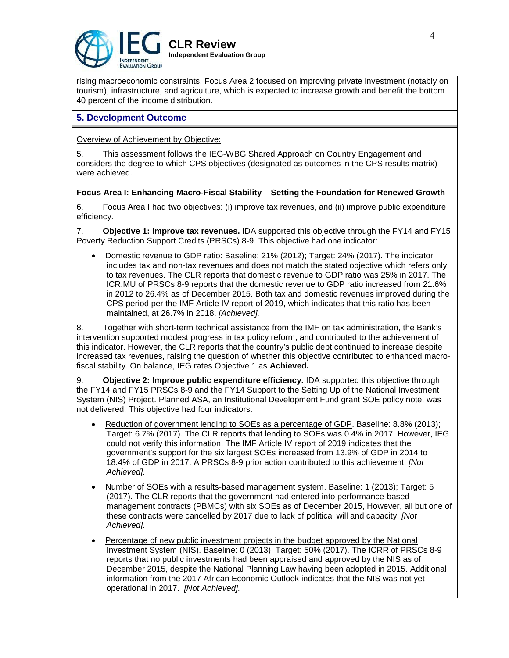

rising macroeconomic constraints. Focus Area 2 focused on improving private investment (notably on tourism), infrastructure, and agriculture, which is expected to increase growth and benefit the bottom 40 percent of the income distribution.

## **5. Development Outcome**

Overview of Achievement by Objective:

5. This assessment follows the IEG-WBG Shared Approach on Country Engagement and considers the degree to which CPS objectives (designated as outcomes in the CPS results matrix) were achieved.

### **Focus Area I: Enhancing Macro-Fiscal Stability – Setting the Foundation for Renewed Growth**

6. Focus Area I had two objectives: (i) improve tax revenues, and (ii) improve public expenditure efficiency.

7. **Objective 1: Improve tax revenues.** IDA supported this objective through the FY14 and FY15 Poverty Reduction Support Credits (PRSCs) 8-9. This objective had one indicator:

• Domestic revenue to GDP ratio: Baseline: 21% (2012); Target: 24% (2017). The indicator includes tax and non-tax revenues and does not match the stated objective which refers only to tax revenues. The CLR reports that domestic revenue to GDP ratio was 25% in 2017. The [ICR:MU](http://documents.worldbank.org/curated/en/269091493843894240/pdf/ICR00003972-03312017.pdf) of PRSCs 8-9 reports that the domestic revenue to GDP ratio increased from 21.6% in 2012 to 26.4% as of December 2015. Both tax and domestic revenues improved during the CPS period per the IMF Article IV report of 2019, which indicates that this ratio has been maintained, at 26.7% in 2018. *[Achieved].*

8. Together with short-term technical assistance from the IMF on tax administration, the Bank's intervention supported modest progress in tax policy reform, and contributed to the achievement of this indicator. However, the CLR reports that the country's public debt continued to increase despite increased tax revenues, raising the question of whether this objective contributed to enhanced macrofiscal stability. On balance, IEG rates Objective 1 as **Achieved.**

9. **Objective 2: Improve public expenditure efficiency.** IDA supported this objective through the FY14 and FY15 PRSCs 8-9 and the FY14 Support to the Setting Up of the National Investment System (NIS) Project. Planned ASA, an Institutional Development Fund grant SOE policy note, was not delivered. This objective had four indicators:

- Reduction of government lending to SOEs as a percentage of GDP. Baseline: 8.8% (2013); Target: 6.7% (2017). The CLR reports that lending to SOEs was 0.4% in 2017. However, IEG could not verify this information. The IMF Article IV report of 2019 indicates that the government's support for the six largest SOEs increased from 13.9% of GDP in 2014 to 18.4% of GDP in 2017. A PRSCs 8-9 prior action contributed to this achievement. *[Not Achieved].*
- Number of SOEs with a results-based management system. Baseline: 1 (2013); Target: 5 (2017). The CLR reports that the government had entered into performance-based management contracts (PBMCs) with six SOEs as of December 2015, However, all but one of these contracts were cancelled by 2017 due to lack of political will and capacity. *[Not Achieved].*
- Percentage of new public investment projects in the budget approved by the National Investment System (NIS). Baseline: 0 (2013); Target: 50% (2017). The ICRR of PRSCs 8-9 reports that no public investments had been appraised and approved by the NIS as of December 2015, despite the National Planning Law having been adopted in 2015. Additional information from the 2017 African Economic Outlook indicates that the NIS was not yet operational in 2017. *[Not Achieved].*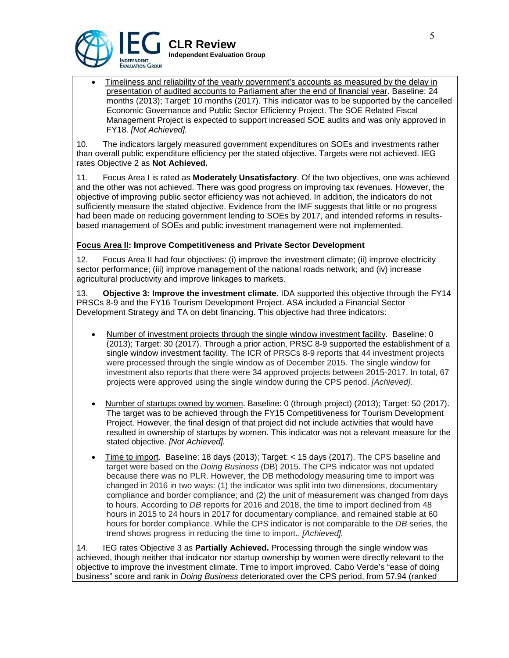

• Timeliness and reliability of the yearly government's accounts as measured by the delay in presentation of audited accounts to Parliament after the end of financial year. Baseline: 24 months (2013); Target: 10 months (2017). This indicator was to be supported by the cancelled Economic Governance and Public Sector Efficiency Project. The SOE Related Fiscal Management Project is expected to support increased SOE audits and was only approved in FY18. *[Not Achieved].*

10. The indicators largely measured government expenditures on SOEs and investments rather than overall public expenditure efficiency per the stated objective. Targets were not achieved. IEG rates Objective 2 as **Not Achieved.**

11. Focus Area I is rated as **Moderately Unsatisfactory**. Of the two objectives, one was achieved and the other was not achieved. There was good progress on improving tax revenues. However, the objective of improving public sector efficiency was not achieved. In addition, the indicators do not sufficiently measure the stated objective. Evidence from the IMF suggests that little or no progress had been made on reducing government lending to SOEs by 2017, and intended reforms in resultsbased management of SOEs and public investment management were not implemented.

### **Focus Area II: Improve Competitiveness and Private Sector Development**

12. Focus Area II had four objectives: (i) improve the investment climate; (ii) improve electricity sector performance; (iii) improve management of the national roads network; and (iv) increase agricultural productivity and improve linkages to markets.

13. **Objective 3: Improve the investment climate**. IDA supported this objective through the FY14 PRSCs 8-9 and the FY16 Tourism Development Project. ASA included a Financial Sector Development Strategy and TA on debt financing. This objective had three indicators:

- Number of investment projects through the single window investment facility. Baseline: 0 (2013); Target: 30 (2017). Through a prior action, PRSC 8-9 supported the establishment of a single window investment facility. The ICR of PRSCs 8-9 reports that 44 investment projects were processed through the single window as of December 2015. The single window for investment also reports that there were 34 approved projects between 2015-2017. In total, 67 projects were approved using the single window during the CPS period. *[Achieved].*
- Number of startups owned by women. Baseline: 0 (through project) (2013); Target: 50 (2017). The target was to be achieved through the FY15 Competitiveness for Tourism Development Project. However, the final design of that project did not include activities that would have resulted in ownership of startups by women. This indicator was not a relevant measure for the stated objective. *[Not Achieved].*
- Time to import. Baseline: 18 days (2013); Target: < 15 days (2017). The CPS baseline and target were based on the *Doing Business* (DB) 2015. The CPS indicator was not updated because there was no PLR. However, the DB methodology measuring time to import was changed in 2016 in two ways: (1) the indicator was split into two dimensions, documentary compliance and border compliance; and (2) the unit of measurement was changed from days to hours. According to *DB* reports for 2016 and 2018, the time to import declined from 48 hours in 2015 to 24 hours in 2017 for documentary compliance, and remained stable at 60 hours for border compliance. While the CPS indicator is not comparable to the *DB* series, the trend shows progress in reducing the time to import.. *[Achieved].*

14. IEG rates Objective 3 as **Partially Achieved.** Processing through the single window was achieved, though neither that indicator nor startup ownership by women were directly relevant to the objective to improve the investment climate. Time to import improved. Cabo Verde's "ease of doing business" score and rank in *Doing Business* deteriorated over the CPS period, from 57.94 (ranked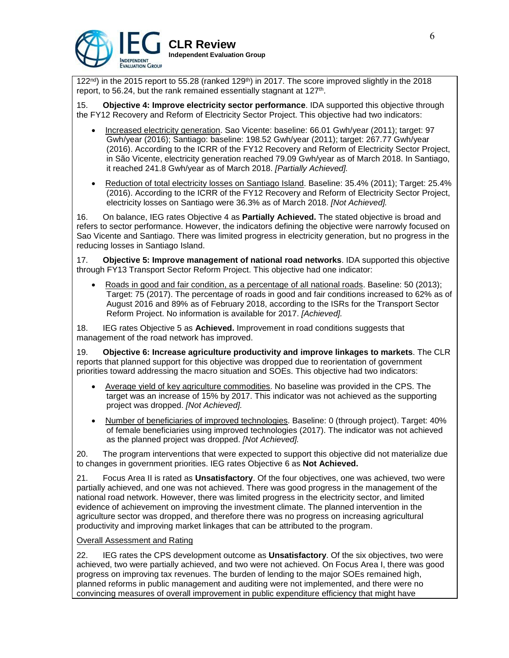

 $122<sup>nd</sup>$ ) in the 2015 report to 55.28 (ranked 129<sup>th</sup>) in 2017. The score improved slightly in the 2018 report, to 56.24, but the rank remained essentially stagnant at 127<sup>th</sup>.

15. **Objective 4: Improve electricity sector performance**. IDA supported this objective through the FY12 Recovery and Reform of Electricity Sector Project. This objective had two indicators:

- Increased electricity generation. Sao Vicente: baseline: 66.01 Gwh/year (2011); target: 97 Gwh/year (2016); Santiago: baseline: 198.52 Gwh/year (2011); target: 267.77 Gwh/year (2016). According to the ICRR of the FY12 Recovery and Reform of Electricity Sector Project, in São Vicente, electricity generation reached 79.09 Gwh/year as of March 2018. In Santiago, it reached 241.8 Gwh/year as of March 2018. *[Partially Achieved].*
- Reduction of total electricity losses on Santiago Island. Baseline: 35.4% (2011); Target: 25.4% (2016). According to the ICRR of the FY12 Recovery and Reform of Electricity Sector Project, electricity losses on Santiago were 36.3% as of March 2018. *[Not Achieved].*

16. On balance, IEG rates Objective 4 as **Partially Achieved.** The stated objective is broad and refers to sector performance. However, the indicators defining the objective were narrowly focused on Sao Vicente and Santiago. There was limited progress in electricity generation, but no progress in the reducing losses in Santiago Island.

17. **Objective 5: Improve management of national road networks**. IDA supported this objective through FY13 Transport Sector Reform Project. This objective had one indicator:

• Roads in good and fair condition, as a percentage of all national roads. Baseline: 50 (2013); Target: 75 (2017). The percentage of roads in good and fair conditions increased to 62% as of August 2016 and 89% as of February 2018, according to the ISRs for the Transport Sector Reform Project. No information is available for 2017. *[Achieved].*

18. IEG rates Objective 5 as **Achieved.** Improvement in road conditions suggests that management of the road network has improved.

19. **Objective 6: Increase agriculture productivity and improve linkages to markets**. The CLR reports that planned support for this objective was dropped due to reorientation of government priorities toward addressing the macro situation and SOEs. This objective had two indicators:

- Average yield of key agriculture commodities. No baseline was provided in the CPS. The target was an increase of 15% by 2017. This indicator was not achieved as the supporting project was dropped. *[Not Achieved].*
- Number of beneficiaries of improved technologies. Baseline: 0 (through project). Target: 40% of female beneficiaries using improved technologies (2017). The indicator was not achieved as the planned project was dropped. *[Not Achieved].*

20. The program interventions that were expected to support this objective did not materialize due to changes in government priorities. IEG rates Objective 6 as **Not Achieved.**

21. Focus Area II is rated as **Unsatisfactory**. Of the four objectives, one was achieved, two were partially achieved, and one was not achieved. There was good progress in the management of the national road network. However, there was limited progress in the electricity sector, and limited evidence of achievement on improving the investment climate. The planned intervention in the agriculture sector was dropped, and therefore there was no progress on increasing agricultural productivity and improving market linkages that can be attributed to the program.

#### Overall Assessment and Rating

22. IEG rates the CPS development outcome as **Unsatisfactory**. Of the six objectives, two were achieved, two were partially achieved, and two were not achieved. On Focus Area I, there was good progress on improving tax revenues. The burden of lending to the major SOEs remained high, planned reforms in public management and auditing were not implemented, and there were no convincing measures of overall improvement in public expenditure efficiency that might have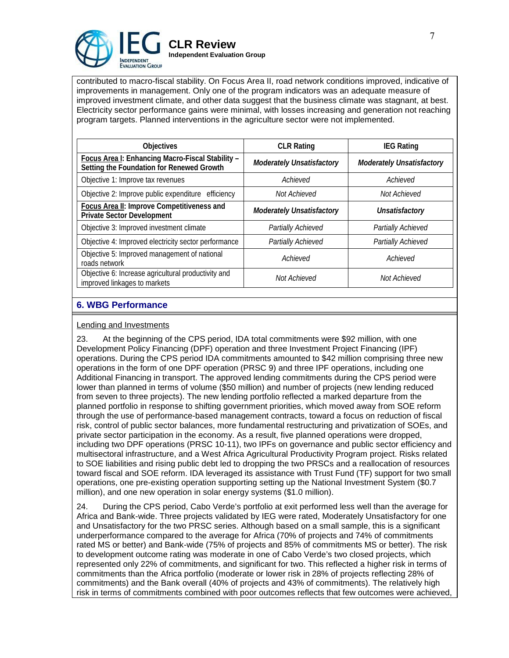

contributed to macro-fiscal stability. On Focus Area II, road network conditions improved, indicative of improvements in management. Only one of the program indicators was an adequate measure of improved investment climate, and other data suggest that the business climate was stagnant, at best. Electricity sector performance gains were minimal, with losses increasing and generation not reaching program targets. Planned interventions in the agriculture sector were not implemented.

| <b>Objectives</b>                                                                             | <b>CLR Rating</b>                | <b>IEG Rating</b>                |  |
|-----------------------------------------------------------------------------------------------|----------------------------------|----------------------------------|--|
| Focus Area I: Enhancing Macro-Fiscal Stability -<br>Setting the Foundation for Renewed Growth | <b>Moderately Unsatisfactory</b> | <b>Moderately Unsatisfactory</b> |  |
| Objective 1: Improve tax revenues                                                             | Achieved                         | Achieved                         |  |
| Objective 2: Improve public expenditure efficiency                                            | Not Achieved                     | Not Achieved                     |  |
| Focus Area II: Improve Competitiveness and<br><b>Private Sector Development</b>               | <b>Moderately Unsatisfactory</b> | Unsatisfactory                   |  |
| Objective 3: Improved investment climate                                                      | Partially Achieved               | Partially Achieved               |  |
| Objective 4: Improved electricity sector performance                                          | Partially Achieved               | Partially Achieved               |  |
| Objective 5: Improved management of national<br>roads network                                 | Achieved                         | Achieved                         |  |
| Objective 6: Increase agricultural productivity and<br>improved linkages to markets           | Not Achieved                     | Not Achieved                     |  |

## **6. WBG Performance**

#### Lending and Investments

23. At the beginning of the CPS period, IDA total commitments were \$92 million, with one Development Policy Financing (DPF) operation and three Investment Project Financing (IPF) operations. During the CPS period IDA commitments amounted to \$42 million comprising three new operations in the form of one DPF operation (PRSC 9) and three IPF operations, including one Additional Financing in transport. The approved lending commitments during the CPS period were lower than planned in terms of volume (\$50 million) and number of projects (new lending reduced from seven to three projects). The new lending portfolio reflected a marked departure from the planned portfolio in response to shifting government priorities, which moved away from SOE reform through the use of performance-based management contracts, toward a focus on reduction of fiscal risk, control of public sector balances, more fundamental restructuring and privatization of SOEs, and private sector participation in the economy. As a result, five planned operations were dropped, including two DPF operations (PRSC 10-11), two IPFs on governance and public sector efficiency and multisectoral infrastructure, and a West Africa Agricultural Productivity Program project. Risks related to SOE liabilities and rising public debt led to dropping the two PRSCs and a reallocation of resources toward fiscal and SOE reform. IDA leveraged its assistance with Trust Fund (TF) support for two small operations, one pre-existing operation supporting setting up the National Investment System (\$0.7 million), and one new operation in solar energy systems (\$1.0 million).

24. During the CPS period, Cabo Verde's portfolio at exit performed less well than the average for Africa and Bank-wide. Three projects validated by IEG were rated, Moderately Unsatisfactory for one and Unsatisfactory for the two PRSC series. Although based on a small sample, this is a significant underperformance compared to the average for Africa (70% of projects and 74% of commitments rated MS or better) and Bank-wide (75% of projects and 85% of commitments MS or better). The risk to development outcome rating was moderate in one of Cabo Verde's two closed projects, which represented only 22% of commitments, and significant for two. This reflected a higher risk in terms of commitments than the Africa portfolio (moderate or lower risk in 28% of projects reflecting 28% of commitments) and the Bank overall (40% of projects and 43% of commitments). The relatively high risk in terms of commitments combined with poor outcomes reflects that few outcomes were achieved,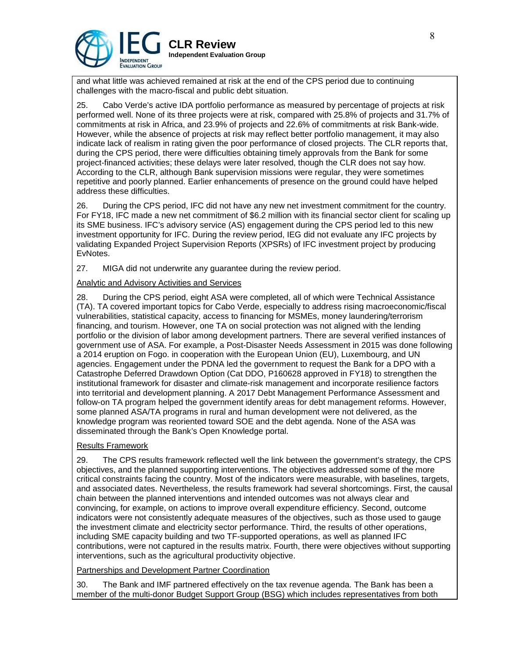

and what little was achieved remained at risk at the end of the CPS period due to continuing challenges with the macro-fiscal and public debt situation.

25. Cabo Verde's active IDA portfolio performance as measured by percentage of projects at risk performed well. None of its three projects were at risk, compared with 25.8% of projects and 31.7% of commitments at risk in Africa, and 23.9% of projects and 22.6% of commitments at risk Bank-wide. However, while the absence of projects at risk may reflect better portfolio management, it may also indicate lack of realism in rating given the poor performance of closed projects. The CLR reports that, during the CPS period, there were difficulties obtaining timely approvals from the Bank for some project-financed activities; these delays were later resolved, though the CLR does not say how. According to the CLR, although Bank supervision missions were regular, they were sometimes repetitive and poorly planned. Earlier enhancements of presence on the ground could have helped address these difficulties.

26. During the CPS period, IFC did not have any new net investment commitment for the country. For FY18, IFC made a new net commitment of \$6.2 million with its financial sector client for scaling up its SME business. IFC's advisory service (AS) engagement during the CPS period led to this new investment opportunity for IFC. During the review period, IEG did not evaluate any IFC projects by validating Expanded Project Supervision Reports (XPSRs) of IFC investment project by producing EvNotes.

27. MIGA did not underwrite any guarantee during the review period.

### Analytic and Advisory Activities and Services

28. During the CPS period, eight ASA were completed, all of which were Technical Assistance (TA). TA covered important topics for Cabo Verde, especially to address rising macroeconomic/fiscal vulnerabilities, statistical capacity, access to financing for MSMEs, money laundering/terrorism financing, and tourism. However, one TA on social protection was not aligned with the lending portfolio or the division of labor among development partners. There are several verified instances of government use of ASA. For example, a Post-Disaster Needs Assessment in 2015 was done following a 2014 eruption on Fogo. in cooperation with the European Union (EU), Luxembourg, and UN agencies. Engagement under the PDNA led the government to request the Bank for a DPO with a Catastrophe Deferred Drawdown Option (Cat DDO, P160628 approved in FY18) to strengthen the institutional framework for disaster and climate-risk management and incorporate resilience factors into territorial and development planning. A 2017 Debt Management Performance Assessment and follow-on TA program helped the government identify areas for debt management reforms. However, some planned ASA/TA programs in rural and human development were not delivered, as the knowledge program was reoriented toward SOE and the debt agenda. None of the ASA was disseminated through the Bank's Open Knowledge portal.

#### Results Framework

29. The CPS results framework reflected well the link between the government's strategy, the CPS objectives, and the planned supporting interventions. The objectives addressed some of the more critical constraints facing the country. Most of the indicators were measurable, with baselines, targets, and associated dates. Nevertheless, the results framework had several shortcomings. First, the causal chain between the planned interventions and intended outcomes was not always clear and convincing, for example, on actions to improve overall expenditure efficiency. Second, outcome indicators were not consistently adequate measures of the objectives, such as those used to gauge the investment climate and electricity sector performance. Third, the results of other operations, including SME capacity building and two TF-supported operations, as well as planned IFC contributions, were not captured in the results matrix. Fourth, there were objectives without supporting interventions, such as the agricultural productivity objective.

#### Partnerships and Development Partner Coordination

30. The Bank and IMF partnered effectively on the tax revenue agenda. The Bank has been a member of the multi-donor Budget Support Group (BSG) which includes representatives from both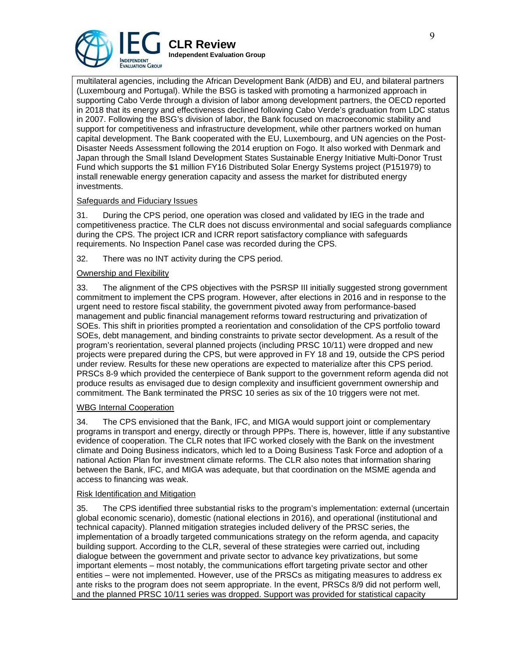

multilateral agencies, including the African Development Bank (AfDB) and EU, and bilateral partners (Luxembourg and Portugal). While the BSG is tasked with promoting a harmonized approach in supporting Cabo Verde through a division of labor among development partners, the OECD reported in 2018 that its energy and effectiveness declined following Cabo Verde's graduation from LDC status in 2007. Following the BSG's division of labor, the Bank focused on macroeconomic stability and support for competitiveness and infrastructure development, while other partners worked on human capital development. The Bank cooperated with the EU, Luxembourg, and UN agencies on the Post-Disaster Needs Assessment following the 2014 eruption on Fogo. It also worked with Denmark and Japan through the Small Island Development States Sustainable Energy Initiative Multi-Donor Trust Fund which supports the \$1 million FY16 Distributed Solar Energy Systems project (P151979) to install renewable energy generation capacity and assess the market for distributed energy investments.

### Safeguards and Fiduciary Issues

31. During the CPS period, one operation was closed and validated by IEG in the trade and competitiveness practice. The CLR does not discuss environmental and social safeguards compliance during the CPS. The project ICR and ICRR report satisfactory compliance with safeguards requirements. No Inspection Panel case was recorded during the CPS.

32. There was no INT activity during the CPS period.

### Ownership and Flexibility

33. The alignment of the CPS objectives with the PSRSP III initially suggested strong government commitment to implement the CPS program. However, after elections in 2016 and in response to the urgent need to restore fiscal stability, the government pivoted away from performance-based management and public financial management reforms toward restructuring and privatization of SOEs. This shift in priorities prompted a reorientation and consolidation of the CPS portfolio toward SOEs, debt management, and binding constraints to private sector development. As a result of the program's reorientation, several planned projects (including PRSC 10/11) were dropped and new projects were prepared during the CPS, but were approved in FY 18 and 19, outside the CPS period under review. Results for these new operations are expected to materialize after this CPS period. PRSCs 8-9 which provided the centerpiece of Bank support to the government reform agenda did not produce results as envisaged due to design complexity and insufficient government ownership and commitment. The Bank terminated the PRSC 10 series as six of the 10 triggers were not met.

### WBG Internal Cooperation

34. The CPS envisioned that the Bank, IFC, and MIGA would support joint or complementary programs in transport and energy, directly or through PPPs. There is, however, little if any substantive evidence of cooperation. The CLR notes that IFC worked closely with the Bank on the investment climate and Doing Business indicators, which led to a Doing Business Task Force and adoption of a national Action Plan for investment climate reforms. The CLR also notes that information sharing between the Bank, IFC, and MIGA was adequate, but that coordination on the MSME agenda and access to financing was weak.

#### Risk Identification and Mitigation

35. The CPS identified three substantial risks to the program's implementation: external (uncertain global economic scenario), domestic (national elections in 2016), and operational (institutional and technical capacity). Planned mitigation strategies included delivery of the PRSC series, the implementation of a broadly targeted communications strategy on the reform agenda, and capacity building support. According to the CLR, several of these strategies were carried out, including dialogue between the government and private sector to advance key privatizations, but some important elements – most notably, the communications effort targeting private sector and other entities – were not implemented. However, use of the PRSCs as mitigating measures to address ex ante risks to the program does not seem appropriate. In the event, PRSCs 8/9 did not perform well, and the planned PRSC 10/11 series was dropped. Support was provided for statistical capacity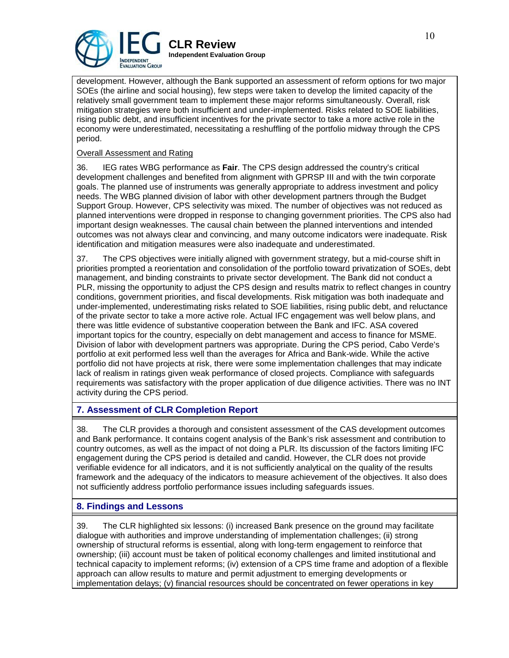

development. However, although the Bank supported an assessment of reform options for two major SOEs (the airline and social housing), few steps were taken to develop the limited capacity of the relatively small government team to implement these major reforms simultaneously. Overall, risk mitigation strategies were both insufficient and under-implemented. Risks related to SOE liabilities, rising public debt, and insufficient incentives for the private sector to take a more active role in the economy were underestimated, necessitating a reshuffling of the portfolio midway through the CPS period.

### Overall Assessment and Rating

36. IEG rates WBG performance as **Fair**. The CPS design addressed the country's critical development challenges and benefited from alignment with GPRSP III and with the twin corporate goals. The planned use of instruments was generally appropriate to address investment and policy needs. The WBG planned division of labor with other development partners through the Budget Support Group. However, CPS selectivity was mixed. The number of objectives was not reduced as planned interventions were dropped in response to changing government priorities. The CPS also had important design weaknesses. The causal chain between the planned interventions and intended outcomes was not always clear and convincing, and many outcome indicators were inadequate. Risk identification and mitigation measures were also inadequate and underestimated.

37. The CPS objectives were initially aligned with government strategy, but a mid-course shift in priorities prompted a reorientation and consolidation of the portfolio toward privatization of SOEs, debt management, and binding constraints to private sector development. The Bank did not conduct a PLR, missing the opportunity to adjust the CPS design and results matrix to reflect changes in country conditions, government priorities, and fiscal developments. Risk mitigation was both inadequate and under-implemented, underestimating risks related to SOE liabilities, rising public debt, and reluctance of the private sector to take a more active role. Actual IFC engagement was well below plans, and there was little evidence of substantive cooperation between the Bank and IFC. ASA covered important topics for the country, especially on debt management and access to finance for MSME. Division of labor with development partners was appropriate. During the CPS period, Cabo Verde's portfolio at exit performed less well than the averages for Africa and Bank-wide. While the active portfolio did not have projects at risk, there were some implementation challenges that may indicate lack of realism in ratings given weak performance of closed projects. Compliance with safeguards requirements was satisfactory with the proper application of due diligence activities. There was no INT activity during the CPS period.

# **7. Assessment of CLR Completion Report**

38. The CLR provides a thorough and consistent assessment of the CAS development outcomes and Bank performance. It contains cogent analysis of the Bank's risk assessment and contribution to country outcomes, as well as the impact of not doing a PLR. Its discussion of the factors limiting IFC engagement during the CPS period is detailed and candid. However, the CLR does not provide verifiable evidence for all indicators, and it is not sufficiently analytical on the quality of the results framework and the adequacy of the indicators to measure achievement of the objectives. It also does not sufficiently address portfolio performance issues including safeguards issues.

# **8. Findings and Lessons**

39. The CLR highlighted six lessons: (i) increased Bank presence on the ground may facilitate dialogue with authorities and improve understanding of implementation challenges; (ii) strong ownership of structural reforms is essential, along with long-term engagement to reinforce that ownership; (iii) account must be taken of political economy challenges and limited institutional and technical capacity to implement reforms; (iv) extension of a CPS time frame and adoption of a flexible approach can allow results to mature and permit adjustment to emerging developments or implementation delays; (v) financial resources should be concentrated on fewer operations in key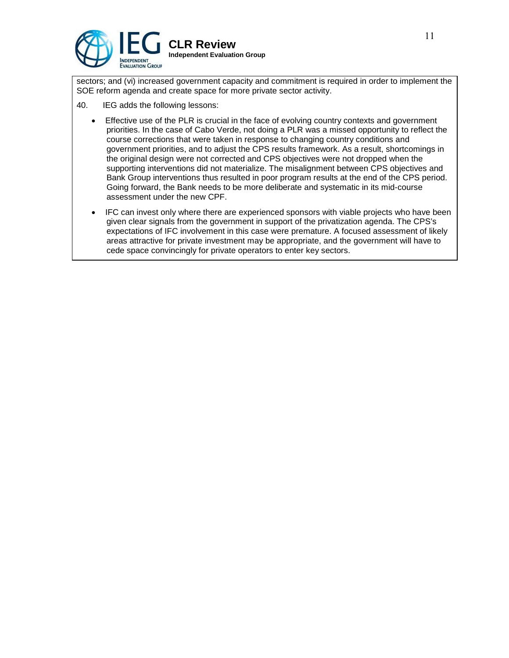

sectors; and (vi) increased government capacity and commitment is required in order to implement the SOE reform agenda and create space for more private sector activity.

- 40. IEG adds the following lessons:
	- Effective use of the PLR is crucial in the face of evolving country contexts and government priorities. In the case of Cabo Verde, not doing a PLR was a missed opportunity to reflect the course corrections that were taken in response to changing country conditions and government priorities, and to adjust the CPS results framework. As a result, shortcomings in the original design were not corrected and CPS objectives were not dropped when the supporting interventions did not materialize. The misalignment between CPS objectives and Bank Group interventions thus resulted in poor program results at the end of the CPS period. Going forward, the Bank needs to be more deliberate and systematic in its mid-course assessment under the new CPF.
	- IFC can invest only where there are experienced sponsors with viable projects who have been given clear signals from the government in support of the privatization agenda. The CPS's expectations of IFC involvement in this case were premature. A focused assessment of likely areas attractive for private investment may be appropriate, and the government will have to cede space convincingly for private operators to enter key sectors.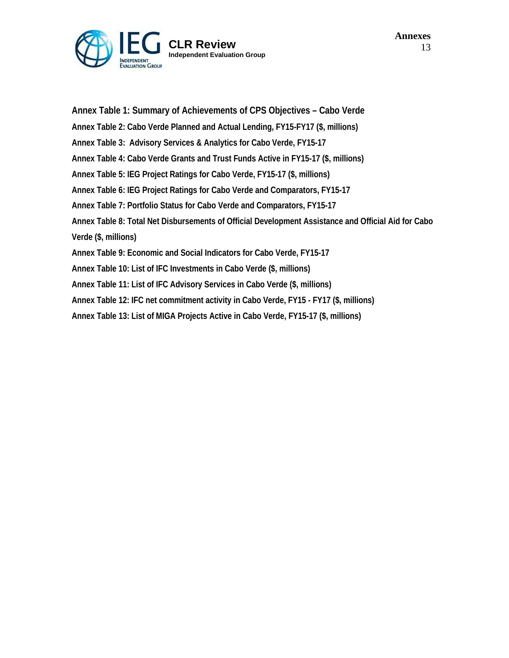

**Annex Table 1: Summary of Achievements of CPS Objectives – Cabo Verde Annex Table 2: Cabo Verde Planned and Actual Lending, FY15-FY17 (\$, millions) Annex Table 3: Advisory Services & Analytics for Cabo Verde, FY15-17 Annex Table 4: Cabo Verde Grants and Trust Funds Active in FY15-17 (\$, millions) Annex Table 5: IEG Project Ratings for Cabo Verde, FY15-17 (\$, millions) Annex Table 6: IEG Project Ratings for Cabo Verde and Comparators, FY15-17 Annex Table 7: Portfolio Status for Cabo Verde and Comparators, FY15-17 Annex Table 8: Total Net Disbursements of Official Development Assistance and Official Aid for Cabo Verde (\$, millions) Annex Table 9: Economic and Social Indicators for Cabo Verde, FY15-17 Annex Table 10: List of IFC Investments in Cabo Verde (\$, millions) Annex Table 11: List of IFC Advisory Services in Cabo Verde (\$, millions) Annex Table 12: IFC net commitment activity in Cabo Verde, FY15 - FY17 (\$, millions) Annex Table 13: List of MIGA Projects Active in Cabo Verde, FY15-17 (\$, millions)**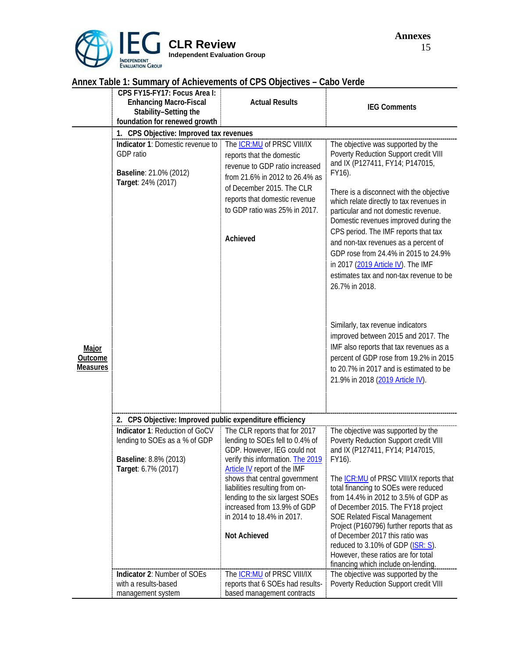

|                                            | CPS FY15-FY17: Focus Area I:                                                                                    |                                                                                                                                                                                                                                        |                                                                                                                                                                                                                                                                                                                                                                                                                                                                                                                              |  |  |
|--------------------------------------------|-----------------------------------------------------------------------------------------------------------------|----------------------------------------------------------------------------------------------------------------------------------------------------------------------------------------------------------------------------------------|------------------------------------------------------------------------------------------------------------------------------------------------------------------------------------------------------------------------------------------------------------------------------------------------------------------------------------------------------------------------------------------------------------------------------------------------------------------------------------------------------------------------------|--|--|
|                                            | <b>Enhancing Macro-Fiscal</b>                                                                                   | <b>Actual Results</b>                                                                                                                                                                                                                  |                                                                                                                                                                                                                                                                                                                                                                                                                                                                                                                              |  |  |
|                                            | Stability-Setting the                                                                                           |                                                                                                                                                                                                                                        | <b>IEG Comments</b>                                                                                                                                                                                                                                                                                                                                                                                                                                                                                                          |  |  |
|                                            | foundation for renewed growth                                                                                   |                                                                                                                                                                                                                                        |                                                                                                                                                                                                                                                                                                                                                                                                                                                                                                                              |  |  |
|                                            | 1. CPS Objective: Improved tax revenues                                                                         |                                                                                                                                                                                                                                        |                                                                                                                                                                                                                                                                                                                                                                                                                                                                                                                              |  |  |
|                                            |                                                                                                                 |                                                                                                                                                                                                                                        |                                                                                                                                                                                                                                                                                                                                                                                                                                                                                                                              |  |  |
|                                            | Indicator 1: Domestic revenue to<br>GDP ratio<br>Baseline: 21.0% (2012)<br>Target: 24% (2017)                   | The ICR:MU of PRSC VIII/IX<br>reports that the domestic<br>revenue to GDP ratio increased<br>from 21.6% in 2012 to 26.4% as<br>of December 2015. The CLR<br>reports that domestic revenue<br>to GDP ratio was 25% in 2017.<br>Achieved | The objective was supported by the<br>Poverty Reduction Support credit VIII<br>and IX (P127411, FY14; P147015,<br>FY16).<br>There is a disconnect with the objective<br>which relate directly to tax revenues in<br>particular and not domestic revenue.<br>Domestic revenues improved during the<br>CPS period. The IMF reports that tax<br>and non-tax revenues as a percent of<br>GDP rose from 24.4% in 2015 to 24.9%<br>in 2017 (2019 Article IV). The IMF<br>estimates tax and non-tax revenue to be<br>26.7% in 2018. |  |  |
| <b>Major</b><br>Outcome<br><b>Measures</b> |                                                                                                                 |                                                                                                                                                                                                                                        | Similarly, tax revenue indicators<br>improved between 2015 and 2017. The<br>IMF also reports that tax revenues as a<br>percent of GDP rose from 19.2% in 2015<br>to 20.7% in 2017 and is estimated to be<br>21.9% in 2018 (2019 Article IV).                                                                                                                                                                                                                                                                                 |  |  |
|                                            | 2. CPS Objective: Improved public expenditure efficiency                                                        |                                                                                                                                                                                                                                        |                                                                                                                                                                                                                                                                                                                                                                                                                                                                                                                              |  |  |
|                                            | Indicator 1: Reduction of GoCV<br>lending to SOEs as a % of GDP<br>Baseline: 8.8% (2013)<br>Target: 6.7% (2017) | The CLR reports that for 2017<br>lending to SOEs fell to 0.4% of<br>GDP. However, IEG could not<br>verify this information. The 2019<br>Article IV report of the IMF                                                                   | The objective was supported by the<br>Poverty Reduction Support credit VIII<br>and IX (P127411, FY14; P147015,<br>FY16).                                                                                                                                                                                                                                                                                                                                                                                                     |  |  |
|                                            |                                                                                                                 | shows that central government<br>liabilities resulting from on-<br>lending to the six largest SOEs<br>increased from 13.9% of GDP<br>in 2014 to 18.4% in 2017.<br>Not Achieved                                                         | The <b>ICR:MU</b> of PRSC VIII/IX reports that<br>total financing to SOEs were reduced<br>from 14.4% in 2012 to 3.5% of GDP as<br>of December 2015. The FY18 project<br>SOE Related Fiscal Management<br>Project (P160796) further reports that as<br>of December 2017 this ratio was<br>reduced to 3.10% of GDP (ISR: S).                                                                                                                                                                                                   |  |  |
|                                            |                                                                                                                 |                                                                                                                                                                                                                                        | However, these ratios are for total<br>financing which include on-lending.                                                                                                                                                                                                                                                                                                                                                                                                                                                   |  |  |
|                                            | Indicator 2: Number of SOEs<br>with a results-based<br>management system                                        | The <b>ICR:MU</b> of PRSC VIII/IX<br>reports that 6 SOEs had results-<br>based management contracts                                                                                                                                    | The objective was supported by the<br>Poverty Reduction Support credit VIII                                                                                                                                                                                                                                                                                                                                                                                                                                                  |  |  |

# **Annex Table 1: Summary of Achievements of CPS Objectives – Cabo Verde**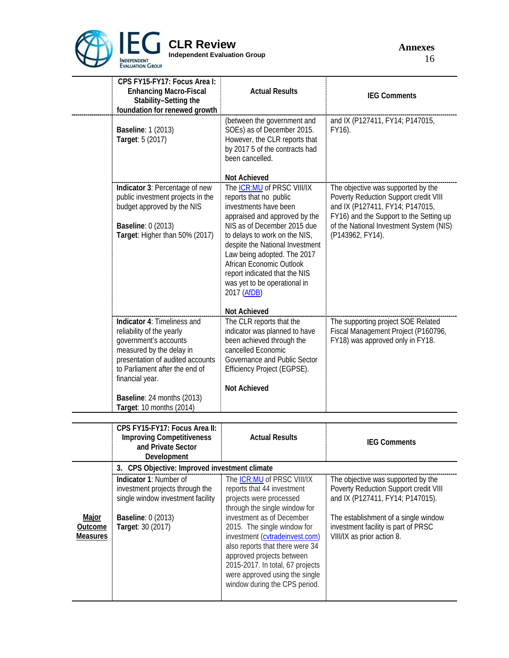

**Annexes** 16

|                                            | CPS FY15-FY17: Focus Area I:<br><b>Enhancing Macro-Fiscal</b><br>Stability-Setting the<br>foundation for renewed growth                                                                                                                                          | <b>Actual Results</b>                                                                                                                                                                                                                                                                                                                                                                               | <b>IEG Comments</b>                                                                                                                                                                                                          |
|--------------------------------------------|------------------------------------------------------------------------------------------------------------------------------------------------------------------------------------------------------------------------------------------------------------------|-----------------------------------------------------------------------------------------------------------------------------------------------------------------------------------------------------------------------------------------------------------------------------------------------------------------------------------------------------------------------------------------------------|------------------------------------------------------------------------------------------------------------------------------------------------------------------------------------------------------------------------------|
|                                            | <b>Baseline: 1 (2013)</b><br>Target: 5 (2017)                                                                                                                                                                                                                    | (between the government and<br>SOEs) as of December 2015.<br>However, the CLR reports that<br>by 2017 5 of the contracts had<br>been cancelled.                                                                                                                                                                                                                                                     | and IX (P127411, FY14; P147015,<br>FY16).                                                                                                                                                                                    |
|                                            | Indicator 3: Percentage of new<br>public investment projects in the<br>budget approved by the NIS<br><b>Baseline: 0 (2013)</b><br>Target: Higher than 50% (2017)                                                                                                 | Not Achieved<br>The ICR:MU of PRSC VIII/IX<br>reports that no public<br>investments have been<br>appraised and approved by the<br>NIS as of December 2015 due<br>to delays to work on the NIS,<br>despite the National Investment<br>Law being adopted. The 2017<br>African Economic Outlook<br>report indicated that the NIS<br>was yet to be operational in<br>2017 (AfDB)<br><b>Not Achieved</b> | The objective was supported by the<br>Poverty Reduction Support credit VIII<br>and IX (P127411, FY14; P147015,<br>FY16) and the Support to the Setting up<br>of the National Investment System (NIS)<br>(P143962, FY14).     |
|                                            | Indicator 4: Timeliness and<br>reliability of the yearly<br>government's accounts<br>measured by the delay in<br>presentation of audited accounts<br>to Parliament after the end of<br>financial year.<br>Baseline: 24 months (2013)<br>Target: 10 months (2014) | The CLR reports that the<br>indicator was planned to have<br>been achieved through the<br>cancelled Economic<br>Governance and Public Sector<br>Efficiency Project (EGPSE).<br><b>Not Achieved</b>                                                                                                                                                                                                  | The supporting project SOE Related<br>Fiscal Management Project (P160796,<br>FY18) was approved only in FY18.                                                                                                                |
|                                            | CPS FY15-FY17: Focus Area II:<br><b>Improving Competitiveness</b><br>and Private Sector<br>Development                                                                                                                                                           | <b>Actual Results</b>                                                                                                                                                                                                                                                                                                                                                                               | <b>IEG Comments</b>                                                                                                                                                                                                          |
|                                            | 3. CPS Objective: Improved investment climate                                                                                                                                                                                                                    |                                                                                                                                                                                                                                                                                                                                                                                                     |                                                                                                                                                                                                                              |
| Major<br><b>Outcome</b><br><b>Measures</b> | Indicator 1: Number of<br>investment projects through the<br>single window investment facility<br><b>Baseline: 0 (2013)</b><br>Target: 30 (2017)                                                                                                                 | The ICR: MU of PRSC VIII/IX<br>reports that 44 investment<br>projects were processed<br>through the single window for<br>investment as of December<br>2015. The single window for<br>investment (cvtradeinvest.com)<br>also reports that there were 34<br>approved projects between<br>2015-2017. In total, 67 projects<br>were approved using the single<br>window during the CPS period.          | The objective was supported by the<br>Poverty Reduction Support credit VIII<br>and IX (P127411, FY14; P147015).<br>The establishment of a single window<br>investment facility is part of PRSC<br>VIII/IX as prior action 8. |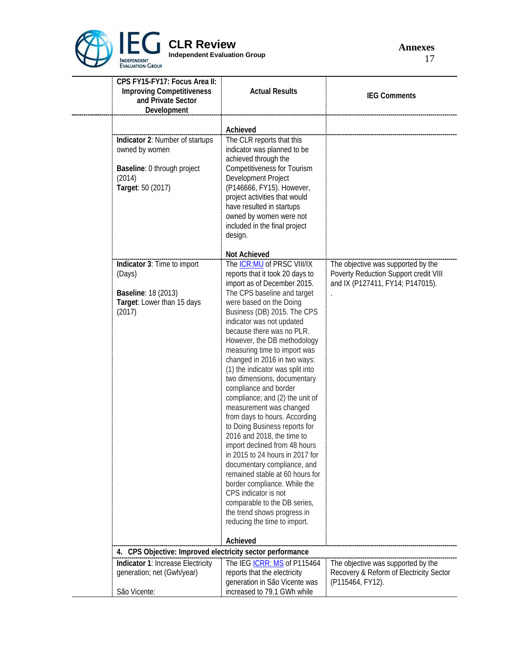

**CLR Review Independent Evaluation Group**

**Annexes** 17

| CPS FY15-FY17: Focus Area II:<br><b>Improving Competitiveness</b><br>and Private Sector<br>Development          | <b>Actual Results</b>                                                                                                                                                                                                                                                                                                                                                                                                                                                                                           | <b>IEG Comments</b>                                                                                             |
|-----------------------------------------------------------------------------------------------------------------|-----------------------------------------------------------------------------------------------------------------------------------------------------------------------------------------------------------------------------------------------------------------------------------------------------------------------------------------------------------------------------------------------------------------------------------------------------------------------------------------------------------------|-----------------------------------------------------------------------------------------------------------------|
|                                                                                                                 | Achieved                                                                                                                                                                                                                                                                                                                                                                                                                                                                                                        |                                                                                                                 |
| Indicator 2: Number of startups<br>owned by women<br>Baseline: 0 through project<br>(2014)<br>Target: 50 (2017) | The CLR reports that this<br>indicator was planned to be<br>achieved through the<br><b>Competitiveness for Tourism</b><br>Development Project<br>(P146666, FY15). However,                                                                                                                                                                                                                                                                                                                                      |                                                                                                                 |
|                                                                                                                 | project activities that would<br>have resulted in startups<br>owned by women were not<br>included in the final project<br>design.                                                                                                                                                                                                                                                                                                                                                                               |                                                                                                                 |
|                                                                                                                 | Not Achieved                                                                                                                                                                                                                                                                                                                                                                                                                                                                                                    |                                                                                                                 |
| Indicator 3: Time to import<br>(Days)<br><b>Baseline: 18 (2013)</b><br>Target: Lower than 15 days<br>(2017)     | The <b>ICR:MU</b> of PRSC VIII/IX<br>reports that it took 20 days to<br>import as of December 2015.<br>The CPS baseline and target<br>were based on the Doing<br>Business (DB) 2015. The CPS<br>indicator was not updated<br>because there was no PLR.<br>However, the DB methodology<br>measuring time to import was<br>changed in 2016 in two ways:<br>(1) the indicator was split into                                                                                                                       | The objective was supported by the<br>Poverty Reduction Support credit VIII<br>and IX (P127411, FY14; P147015). |
|                                                                                                                 | two dimensions, documentary<br>compliance and border<br>compliance; and (2) the unit of<br>measurement was changed<br>from days to hours. According<br>to Doing Business reports for<br>2016 and 2018, the time to<br>import declined from 48 hours<br>in 2015 to 24 hours in 2017 for<br>documentary compliance, and<br>remained stable at 60 hours for<br>border compliance. While the<br>CPS indicator is not<br>comparable to the DB series,<br>the trend shows progress in<br>reducing the time to import. |                                                                                                                 |
|                                                                                                                 | Achieved                                                                                                                                                                                                                                                                                                                                                                                                                                                                                                        |                                                                                                                 |
| 4. CPS Objective: Improved electricity sector performance                                                       |                                                                                                                                                                                                                                                                                                                                                                                                                                                                                                                 |                                                                                                                 |
| Indicator 1: Increase Electricity<br>generation; net (Gwh/year)                                                 | The IEG ICRR: MS of P115464<br>reports that the electricity<br>generation in São Vicente was                                                                                                                                                                                                                                                                                                                                                                                                                    | The objective was supported by the<br>Recovery & Reform of Electricity Sector<br>(P115464, FY12).               |
| São Vicente:                                                                                                    | increased to 79.1 GWh while                                                                                                                                                                                                                                                                                                                                                                                                                                                                                     |                                                                                                                 |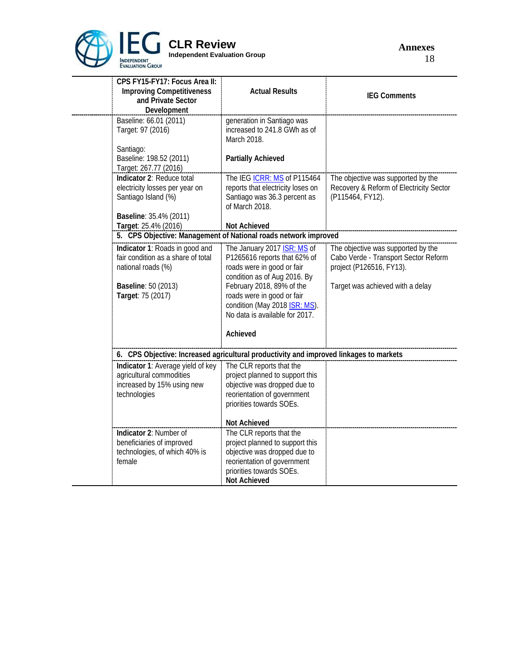

| CPS FY15-FY17: Focus Area II:<br><b>Improving Competitiveness</b><br>and Private Sector<br>Development                                 | <b>Actual Results</b>                                                                                                                                                                                                                                                      | <b>IEG Comments</b>                                                                                                                        |
|----------------------------------------------------------------------------------------------------------------------------------------|----------------------------------------------------------------------------------------------------------------------------------------------------------------------------------------------------------------------------------------------------------------------------|--------------------------------------------------------------------------------------------------------------------------------------------|
| Baseline: 66.01 (2011)<br>Target: 97 (2016)                                                                                            | generation in Santiago was<br>increased to 241.8 GWh as of<br>March 2018.                                                                                                                                                                                                  |                                                                                                                                            |
| Santiago:<br>Baseline: 198.52 (2011)<br>Target: 267.77 (2016)                                                                          | <b>Partially Achieved</b>                                                                                                                                                                                                                                                  |                                                                                                                                            |
| Indicator 2: Reduce total<br>electricity losses per year on<br>Santiago Island (%)                                                     | The IEG ICRR: MS of P115464<br>reports that electricity loses on<br>Santiago was 36.3 percent as<br>of March 2018.                                                                                                                                                         | The objective was supported by the<br>Recovery & Reform of Electricity Sector<br>(P115464, FY12).                                          |
| Baseline: 35.4% (2011)<br>Target: 25.4% (2016)                                                                                         | <b>Not Achieved</b>                                                                                                                                                                                                                                                        |                                                                                                                                            |
| 5. CPS Objective: Management of National roads network improved                                                                        |                                                                                                                                                                                                                                                                            |                                                                                                                                            |
| Indicator 1: Roads in good and<br>fair condition as a share of total<br>national roads (%)<br>Baseline: 50 (2013)<br>Target: 75 (2017) | The January 2017 <b>ISR: MS</b> of<br>P1265616 reports that 62% of<br>roads were in good or fair<br>condition as of Aug 2016. By<br>February 2018, 89% of the<br>roads were in good or fair<br>condition (May 2018 ISR: MS).<br>No data is available for 2017.<br>Achieved | The objective was supported by the<br>Cabo Verde - Transport Sector Reform<br>project (P126516, FY13).<br>Target was achieved with a delay |
| 6. CPS Objective: Increased agricultural productivity and improved linkages to markets                                                 |                                                                                                                                                                                                                                                                            |                                                                                                                                            |
| Indicator 1: Average yield of key<br>agricultural commodities<br>increased by 15% using new<br>technologies                            | The CLR reports that the<br>project planned to support this<br>objective was dropped due to<br>reorientation of government<br>priorities towards SOEs.                                                                                                                     |                                                                                                                                            |
|                                                                                                                                        | <b>Not Achieved</b>                                                                                                                                                                                                                                                        |                                                                                                                                            |
| Indicator 2: Number of<br>beneficiaries of improved<br>technologies, of which 40% is<br>female                                         | The CLR reports that the<br>project planned to support this<br>objective was dropped due to<br>reorientation of government<br>priorities towards SOEs.<br><b>Not Achieved</b>                                                                                              |                                                                                                                                            |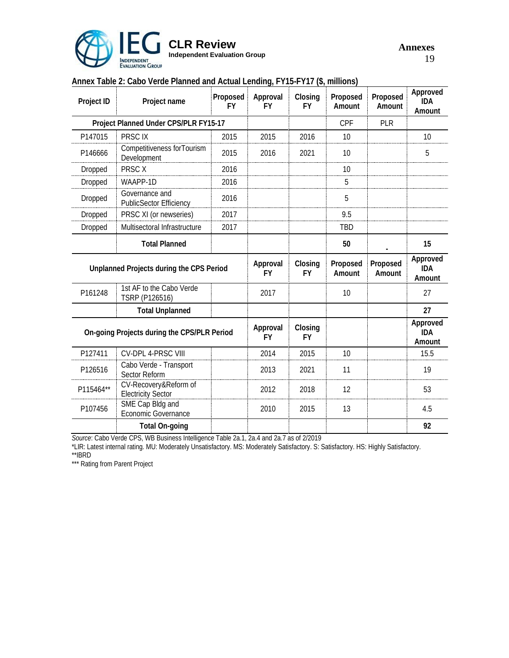

| Project ID                                  | Project name                                       | Proposed<br><b>FY</b> | Approval<br><b>FY</b> | Closing<br><b>FY</b> | Proposed<br>Amount | Proposed<br>Amount | Approved<br><b>IDA</b><br>Amount |
|---------------------------------------------|----------------------------------------------------|-----------------------|-----------------------|----------------------|--------------------|--------------------|----------------------------------|
|                                             | Project Planned Under CPS/PLR FY15-17              |                       |                       |                      | CPF                | <b>PLR</b>         |                                  |
| P147015                                     | PRSC IX                                            | 2015                  | 2015                  | 2016                 | 10                 |                    | 10                               |
| P146666                                     | Competitiveness for Tourism<br>Development         |                       | 2016                  | 2021                 | 10                 |                    | 5                                |
| Dropped                                     | PRSC X                                             | 2016                  |                       |                      | 10                 |                    |                                  |
| Dropped                                     | WAAPP-1D                                           | 2016                  |                       |                      | 5                  |                    |                                  |
| Dropped                                     | Governance and<br>PublicSector Efficiency          |                       |                       |                      | 5                  |                    |                                  |
| Dropped                                     | PRSC XI (or newseries)                             | 2017                  |                       |                      | 9.5                |                    |                                  |
| Dropped                                     | Multisectoral Infrastructure                       |                       |                       |                      | <b>TBD</b>         |                    |                                  |
|                                             | <b>Total Planned</b>                               |                       |                       |                      | 50                 |                    | 15                               |
| Unplanned Projects during the CPS Period    |                                                    |                       | Approval<br><b>FY</b> | Closing<br><b>FY</b> | Proposed<br>Amount | Proposed<br>Amount | Approved<br><b>IDA</b><br>Amount |
| P161248                                     | 1st AF to the Cabo Verde<br>TSRP (P126516)         |                       | 2017                  |                      | 10                 |                    | 27                               |
| <b>Total Unplanned</b>                      |                                                    |                       |                       |                      |                    |                    | 27                               |
| On-going Projects during the CPS/PLR Period |                                                    |                       | Approval<br><b>FY</b> | Closing<br><b>FY</b> |                    |                    | Approved<br><b>IDA</b><br>Amount |
| P127411                                     | CV-DPL 4-PRSC VIII                                 |                       | 2014                  | 2015                 | 10                 |                    | 15.5                             |
| P126516                                     | Cabo Verde - Transport<br>Sector Reform            |                       | 2013                  | 2021                 | 11                 |                    | 19                               |
| P115464**                                   | CV-Recovery&Reform of<br><b>Electricity Sector</b> |                       | 2012                  | 2018                 | 12                 |                    | 53                               |
| P107456                                     | SME Cap Bldg and<br>Economic Governance            |                       | 2010                  | 2015                 | 13                 |                    | 4.5                              |
|                                             | <b>Total On-going</b>                              |                       |                       |                      |                    |                    | 92                               |

# **Annex Table 2: Cabo Verde Planned and Actual Lending, FY15-FY17 (\$, millions)**

*Source*: Cabo Verde CPS, WB Business Intelligence Table 2a.1, 2a.4 and 2a.7 as of 2/2019

\*LIR: Latest internal rating. MU: Moderately Unsatisfactory. MS: Moderately Satisfactory. S: Satisfactory. HS: Highly Satisfactory.

\*\*IBRD

\*\*\* Rating from Parent Project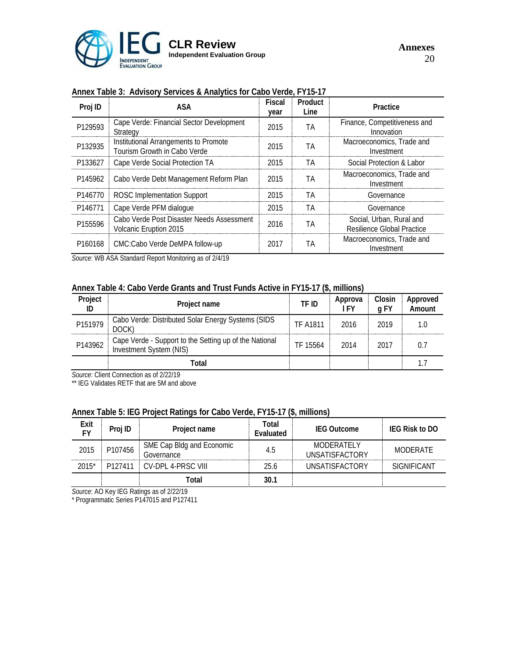

### **Annex Table 3: Advisory Services & Analytics for Cabo Verde, FY15-17**

| Proj ID             | ASA                                                                   | <b>Fiscal</b><br>year | Product<br>Line | Practice                                                      |
|---------------------|-----------------------------------------------------------------------|-----------------------|-----------------|---------------------------------------------------------------|
| P129593             | Cape Verde: Financial Sector Development<br>Strategy                  | 2015                  | ТA              | Finance, Competitiveness and<br>Innovation                    |
| P132935             | Institutional Arrangements to Promote<br>Tourism Growth in Cabo Verde | 2015                  | ΤA              | Macroeconomics. Trade and<br>Investment                       |
| P133627             | Cape Verde Social Protection TA                                       | 2015                  | TА              | Social Protection & Labor                                     |
| P145962             | Cabo Verde Debt Management Reform Plan                                | 2015                  | ΤA              | Macroeconomics, Trade and<br>Investment                       |
| P <sub>146770</sub> | ROSC Implementation Support                                           | 2015                  | TА              | Governance                                                    |
| P146771             | Cape Verde PFM dialogue                                               | 2015                  | TА              | Governance                                                    |
| P155596             | Cabo Verde Post Disaster Needs Assessment<br>Volcanic Eruption 2015   | 2016                  | ΤA              | Social, Urban, Rural and<br><b>Resilience Global Practice</b> |
| P <sub>160168</sub> | CMC:Cabo Verde DeMPA follow-up                                        | 2017                  | ΤA              | Macroeconomics, Trade and<br>Investment                       |

*Source*: WB ASA Standard Report Monitoring as of 2/4/19

### **Annex Table 4: Cabo Verde Grants and Trust Funds Active in FY15-17 (\$, millions)**

| Project | Project name                                                                      | TF ID           | Approva<br>ı FY | Closin<br>a FY | Approved<br>Amount |
|---------|-----------------------------------------------------------------------------------|-----------------|-----------------|----------------|--------------------|
| P151979 | Cabo Verde: Distributed Solar Energy Systems (SIDS<br>DOCK)                       | <b>TF A1811</b> | 2016            | 2019           |                    |
| P143962 | Cape Verde - Support to the Setting up of the National<br>Investment System (NIS) | TF 15564        | 2014            | 2017           |                    |
|         | `otal                                                                             |                 |                 |                |                    |

*Source*: Client Connection as of 2/22/19

\*\* IEG Validates RETF that are 5M and above

# **Annex Table 5: IEG Project Ratings for Cabo Verde, FY15-17 (\$, millions)**

| Exit<br>F٧ | Proj ID | Project name                            | Total<br>Evaluated | <b>IEG Outcome</b>                  | <b>IEG Risk to DO</b> |
|------------|---------|-----------------------------------------|--------------------|-------------------------------------|-----------------------|
| 2015       | P107456 | SME Cap Bldg and Economic<br>Governance | 4.5                | MODERATELY<br><b>UNSATISFACTORY</b> | MODERATE              |
| $2015*$    | P127411 | CV-DPL 4-PRSC VIII                      | 25.6               | <b>UNSATISFACTORY</b>               | <b>SIGNIFICANT</b>    |
|            |         | Total                                   | 30.1               |                                     |                       |

*Source*: AO Key IEG Ratings as of 2/22/19

\* Programmatic Series P147015 and P127411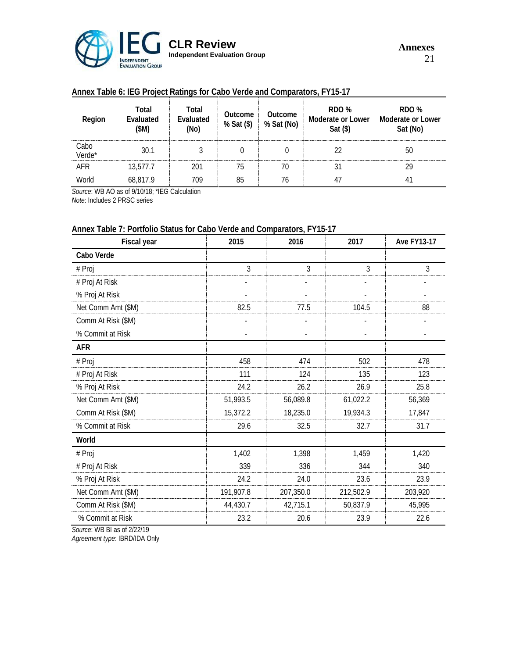

# **Annex Table 6: IEG Project Ratings for Cabo Verde and Comparators, FY15-17**

| Region         | Total<br>Evaluated<br>(\$M) | Total<br>Evaluated<br>(No) | Outcome<br>% Sat (\$) | Outcome<br>% Sat (No)              | RDO %<br><b>Moderate or Lower</b><br>$Sat$ (\$) | RDO %<br><b>Moderate or Lower</b><br>Sat (No) |
|----------------|-----------------------------|----------------------------|-----------------------|------------------------------------|-------------------------------------------------|-----------------------------------------------|
| Cabo<br>Verde* | 30.1                        |                            |                       |                                    |                                                 | 50                                            |
| AFR<br>        | 13,577.7                    |                            |                       | ---------------------------------- |                                                 |                                               |
| <b>World</b>   | 68.817.9                    |                            |                       |                                    |                                                 |                                               |

*Source*: WB AO as of 9/10/18; \*IEG Calculation *Note*: Includes 2 PRSC series

### **Annex Table 7: Portfolio Status for Cabo Verde and Comparators, FY15-17**

| Fiscal year        | 2015      | 2016      | 2017      | <b>Ave FY13-17</b> |
|--------------------|-----------|-----------|-----------|--------------------|
| Cabo Verde         |           |           |           |                    |
| # Proj             | 3         | 3         | 3         | 3                  |
| # Proj At Risk     |           |           |           |                    |
| % Proj At Risk     |           |           |           |                    |
| Net Comm Amt (\$M) | 82.5      | 77.5      | 104.5     | 88                 |
| Comm At Risk (\$M) |           |           |           |                    |
| % Commit at Risk   |           |           |           |                    |
| <b>AFR</b>         |           |           |           |                    |
| # Proj             | 458       | 474       | 502       | 478                |
| # Proj At Risk     | 111       | 124       | 135       | 123                |
| % Proj At Risk     | 24.2      | 26.2      | 26.9      | 25.8               |
| Net Comm Amt (\$M) | 51,993.5  | 56,089.8  | 61,022.2  | 56,369             |
| Comm At Risk (\$M) | 15,372.2  | 18,235.0  | 19,934.3  | 17,847             |
| % Commit at Risk   | 29.6      | 32.5      | 32.7      | 31.7               |
| World              |           |           |           |                    |
| # Proj             | 1,402     | 1,398     | 1,459     | 1,420              |
| # Proj At Risk     | 339       | 336       | 344       | 340                |
| % Proj At Risk     | 24.2      | 24.0      | 23.6      | 23.9               |
| Net Comm Amt (\$M) | 191,907.8 | 207,350.0 | 212,502.9 | 203,920            |
| Comm At Risk (\$M) | 44,430.7  | 42,715.1  | 50,837.9  | 45,995             |
| % Commit at Risk   | 23.2      | 20.6      | 23.9      | 22.6               |

*Source*: WB BI as of 2/22/19

*Agreement type*: IBRD/IDA Only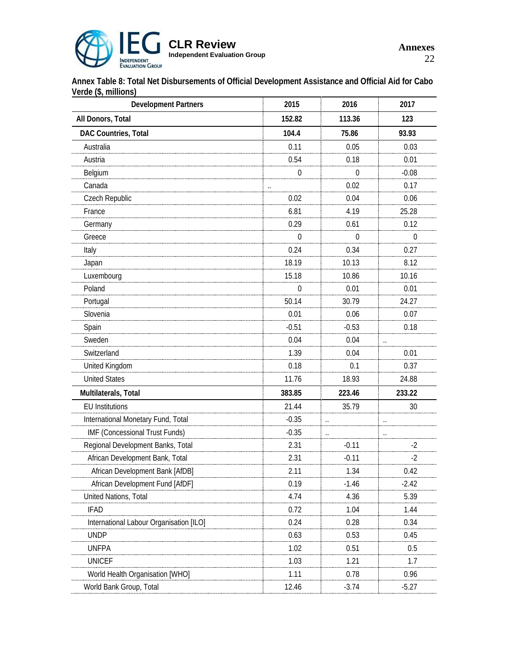

**Annex Table 8: Total Net Disbursements of Official Development Assistance and Official Aid for Cabo Verde (\$, millions)**

| <b>Development Partners</b>             | 2015         | 2016                 | 2017                 |  |
|-----------------------------------------|--------------|----------------------|----------------------|--|
| All Donors, Total                       | 152.82       | 113.36               | 123                  |  |
| DAC Countries, Total                    | 104.4        | 75.86                | 93.93                |  |
| Australia                               | 0.11         | 0.05                 | 0.03                 |  |
| Austria                                 | 0.54         | 0.18                 | 0.01                 |  |
| Belgium                                 | $\Omega$     | $\Omega$             | $-0.08$              |  |
| Canada                                  | $\cdot$ .    | 0.02                 | 0.17                 |  |
| Czech Republic                          | 0.02         | 0.04                 | 0.06                 |  |
| France                                  | 6.81         | 4.19                 | 25.28                |  |
| Germany                                 | 0.29         | 0.61                 | 0.12                 |  |
| Greece                                  | $\Omega$     | $\theta$             | $\theta$             |  |
| Italy                                   | 0.24         | 0.34                 | 0.27                 |  |
| Japan                                   | 18.19        | 10.13                | 8.12                 |  |
| Luxembourg                              | 15.18        | 10.86                | 10.16                |  |
| Poland                                  | $\mathbf{0}$ | 0.01                 | 0.01                 |  |
| Portugal                                | 50.14        | 30.79                | 24.27                |  |
| Slovenia                                | 0.01         | 0.06                 | 0.07                 |  |
| Spain                                   | $-0.51$      | $-0.53$              | 0.18                 |  |
| Sweden                                  | 0.04         | 0.04                 |                      |  |
| Switzerland                             | 1.39         | 0.04                 | 0.01                 |  |
| United Kingdom                          | 0.18         | 0.1                  | 0.37                 |  |
| <b>United States</b>                    | 11.76        | 18.93                | 24.88                |  |
| Multilaterals, Total                    | 383.85       | 223.46               | 233.22               |  |
| <b>EU Institutions</b>                  | 21.44        | 35.79                | 30                   |  |
| International Monetary Fund, Total      | $-0.35$      | $\ddot{\phantom{a}}$ | $\ddot{\phantom{0}}$ |  |
| IMF (Concessional Trust Funds)          | $-0.35$      | $\ddot{\phantom{a}}$ | $\ddot{\phantom{a}}$ |  |
| Regional Development Banks, Total       | 2.31         | $-0.11$              | $-2$                 |  |
| African Development Bank, Total         | 2.31         | $-0.11$              | $-2$                 |  |
| African Development Bank [AfDB]         | 2.11         | 1.34                 | 0.42                 |  |
| African Development Fund [AfDF]         | 0.19         | $-1.46$              | $-2.42$              |  |
| United Nations, Total                   | 4.74         | 4.36                 | 5.39                 |  |
| IFAD                                    | 0.72         | 1.04                 | 1.44                 |  |
| International Labour Organisation [ILO] | 0.24         | 0.28                 | 0.34                 |  |
| <b>UNDP</b>                             | 0.63         | 0.53                 | 0.45                 |  |
| <b>UNFPA</b>                            | 1.02         | 0.51                 | 0.5                  |  |
| <b>UNICEF</b>                           | 1.03         | 1.21                 | 1.7                  |  |
| World Health Organisation [WHO]         | 1.11         | 0.78                 | 0.96                 |  |
| World Bank Group, Total                 | 12.46        | $-3.74$              | $-5.27$              |  |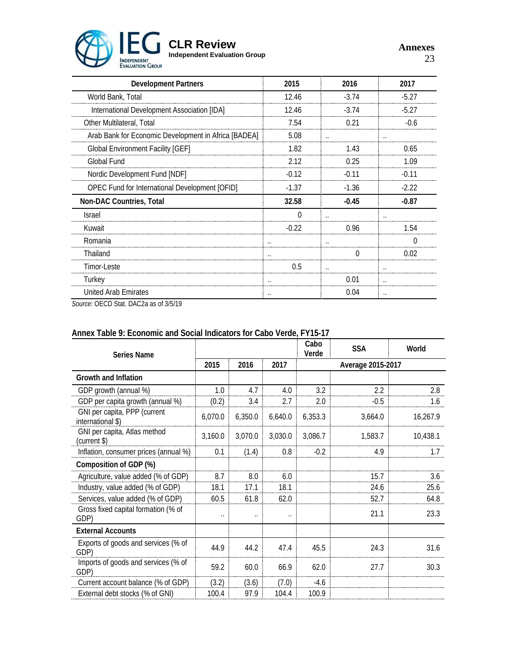

**Annexes** 23

| <b>Development Partners</b>                          | 2015     | 2016                 | 2017                 |
|------------------------------------------------------|----------|----------------------|----------------------|
| World Bank, Total                                    | 12.46    | $-3.74$              | $-5.27$              |
| International Development Association [IDA]          | 12.46    | $-3.74$              | $-5.27$              |
| Other Multilateral, Total                            | 7.54     | 0.21                 | $-0.6$               |
| Arab Bank for Economic Development in Africa [BADEA] | 5.08     | $\cdot$ .            | $\cdot$ .            |
| <b>Global Environment Facility [GEF]</b>             | 1.82     | 1.43                 | 0.65                 |
| Global Fund                                          | 2.12     | 0.25                 | 1.09                 |
| Nordic Development Fund [NDF]                        | $-0.12$  | $-0.11$              | $-0.11$              |
| OPEC Fund for International Development [OFID]       | $-1.37$  | $-1.36$              | $-2.22$              |
| Non-DAC Countries, Total                             | 32.58    | $-0.45$              | $-0.87$              |
| Israel                                               | $\Omega$ |                      |                      |
| Kuwait                                               | $-0.22$  | 0.96                 | 1.54                 |
| Romania                                              |          |                      | $\Omega$             |
| Thailand                                             | $\cdot$  | O                    | 0.02                 |
| Timor-Leste                                          | 0.5      | $\ddot{\phantom{0}}$ |                      |
| Turkey                                               |          | 0.01                 | $\cdot$ .            |
| United Arab Emirates                                 |          | 0.04                 | $\ddot{\phantom{a}}$ |

*Source*: OECD Stat. DAC2a as of 3/5/19

| Series Name                                       |                      |                      |                      | Cabo<br>Verde | <b>SSA</b>        | World    |
|---------------------------------------------------|----------------------|----------------------|----------------------|---------------|-------------------|----------|
|                                                   | 2015                 | 2016                 | 2017                 |               | Average 2015-2017 |          |
| Growth and Inflation                              |                      |                      |                      |               |                   |          |
| GDP growth (annual %)                             | 1.0                  | 4.7                  | 4.0                  | 3.2           | 2.2               | 2.8      |
| GDP per capita growth (annual %)                  | (0.2)                | 3.4                  | 2.7                  | 2.0           | $-0.5$            | 1.6      |
| GNI per capita, PPP (current<br>international \$) | 6,070.0              | 6,350.0              | 6,640.0              | 6,353.3       | 3,664.0           | 16,267.9 |
| GNI per capita, Atlas method<br>(current \$)      | 3,160.0              | 3,070.0              | 3,030.0              | 3,086.7       | 1,583.7           | 10,438.1 |
| Inflation, consumer prices (annual %)             | 0.1                  | (1.4)                | 0.8                  | $-0.2$        | 4.9               | 1.7      |
| Composition of GDP (%)                            |                      |                      |                      |               |                   |          |
| Agriculture, value added (% of GDP)               | 8.7                  | 8.0                  | 6.0                  |               | 15.7              | 3.6      |
| Industry, value added (% of GDP)                  | 18.1                 | 17.1                 | 18.1                 |               | 24.6              | 25.6     |
| Services, value added (% of GDP)                  | 60.5                 | 61.8                 | 62.0                 |               | 52.7              | 64.8     |
| Gross fixed capital formation (% of<br>GDP)       | $\ddot{\phantom{0}}$ | $\ddot{\phantom{0}}$ | $\ddot{\phantom{0}}$ |               | 21.1              | 23.3     |
| <b>External Accounts</b>                          |                      |                      |                      |               |                   |          |
| Exports of goods and services (% of<br>GDP)       | 44.9                 | 44.2                 | 47.4                 | 45.5          | 24.3              | 31.6     |
| Imports of goods and services (% of<br>GDP)       | 59.2                 | 60.0                 | 66.9                 | 62.0          | 27.7              | 30.3     |
| Current account balance (% of GDP)                | (3.2)                | (3.6)                | (7.0)                | $-4.6$        |                   |          |
| External debt stocks (% of GNI)                   | 100.4                | 97.9                 | 104.4                | 100.9         |                   |          |

# **Annex Table 9: Economic and Social Indicators for Cabo Verde, FY15-17**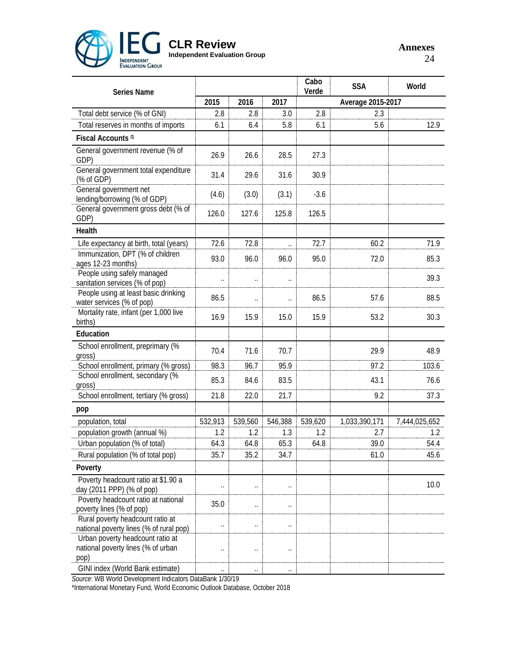

# **CLR Review**

**Independent Evaluation Group**

**Annexes** 24

| <b>Series Name</b>                                                             |                      |                      |                      | Cabo<br>Verde | <b>SSA</b>        | World         |  |
|--------------------------------------------------------------------------------|----------------------|----------------------|----------------------|---------------|-------------------|---------------|--|
|                                                                                | 2015                 | 2016                 | 2017                 |               | Average 2015-2017 |               |  |
| Total debt service (% of GNI)                                                  | 2.8                  | 2.8                  | 3.0                  | 2.8           | 2.3               |               |  |
| Total reserves in months of imports                                            | 6.1                  | 6.4                  | 5.8                  | 6.1           | 5.6               | 12.9          |  |
| Fiscal Accounts <sup>/1</sup>                                                  |                      |                      |                      |               |                   |               |  |
| General government revenue (% of<br>GDP)                                       | 26.9                 | 26.6                 | 28.5                 | 27.3          |                   |               |  |
| General government total expenditure<br>(% of GDP)                             | 31.4                 | 29.6                 | 31.6                 | 30.9          |                   |               |  |
| General government net<br>lending/borrowing (% of GDP)                         | (4.6)                | (3.0)                | (3.1)                | $-3.6$        |                   |               |  |
| General government gross debt (% of<br>GDP)                                    | 126.0                | 127.6                | 125.8                | 126.5         |                   |               |  |
| Health                                                                         |                      |                      |                      |               |                   |               |  |
| Life expectancy at birth, total (years)                                        | 72.6                 | 72.8                 | $\ddot{\phantom{0}}$ | 72.7          | 60.2              | 71.9          |  |
| Immunization, DPT (% of children<br>ages 12-23 months)                         | 93.0                 | 96.0                 | 96.0                 | 95.0          | 72.0              | 85.3          |  |
| People using safely managed<br>sanitation services (% of pop)                  | $\ddot{\phantom{a}}$ | $\ddot{\phantom{a}}$ | $\ddot{\phantom{0}}$ |               |                   | 39.3          |  |
| People using at least basic drinking<br>water services (% of pop)              | 86.5                 | $\ddot{\phantom{0}}$ | $\ddot{\phantom{a}}$ | 86.5          | 57.6              | 88.5          |  |
| Mortality rate, infant (per 1,000 live<br>births)                              | 16.9                 | 15.9                 | 15.0                 | 15.9          | 53.2              | 30.3          |  |
| Education                                                                      |                      |                      |                      |               |                   |               |  |
| School enrollment, preprimary (%                                               | 70.4                 | 71.6                 | 70.7                 |               | 29.9              | 48.9          |  |
| gross)<br>School enrollment, primary (% gross)                                 | 98.3                 | 96.7                 | 95.9                 |               | 97.2              | 103.6         |  |
| School enrollment, secondary (%                                                |                      |                      |                      |               |                   |               |  |
| gross)                                                                         | 85.3                 | 84.6                 | 83.5                 |               | 43.1              | 76.6          |  |
| School enrollment, tertiary (% gross)                                          | 21.8                 | 22.0                 | 21.7                 |               | 9.2               | 37.3          |  |
| pop                                                                            |                      |                      |                      |               |                   |               |  |
| population, total                                                              | 532,913              | 539,560              | 546,388              | 539,620       | 1,033,390,171     | 7,444,025,652 |  |
| population growth (annual %)                                                   | 1.2                  | 1.2                  | 1.3                  | 1.2           | 2.7               | $1.2\,$       |  |
| Urban population (% of total)                                                  | 64.3                 | 64.8                 | 65.3                 | 64.8          | 39.0              | 54.4          |  |
| Rural population (% of total pop)                                              | 35.7                 | 35.2                 | 34.7                 |               | 61.0              | 45.6          |  |
| Poverty                                                                        |                      |                      |                      |               |                   |               |  |
| Poverty headcount ratio at \$1.90 a<br>day (2011 PPP) (% of pop)               | $\ddot{\phantom{a}}$ | $\ddot{\phantom{0}}$ |                      |               |                   | 10.0          |  |
| Poverty headcount ratio at national<br>poverty lines (% of pop)                | 35.0                 | . .                  |                      |               |                   |               |  |
| Rural poverty headcount ratio at<br>national poverty lines (% of rural pop)    | $\ddot{\phantom{0}}$ | . .                  | $\ddot{\phantom{0}}$ |               |                   |               |  |
| Urban poverty headcount ratio at<br>national poverty lines (% of urban<br>pop) | $\ddot{\phantom{0}}$ | Ω.                   |                      |               |                   |               |  |
| GINI index (World Bank estimate)                                               | $\ddot{\phantom{a}}$ |                      |                      |               |                   |               |  |

*Source*: WB World Development Indicators DataBank 1/30/19

\*International Monetary Fund, World Economic Outlook Database, October 2018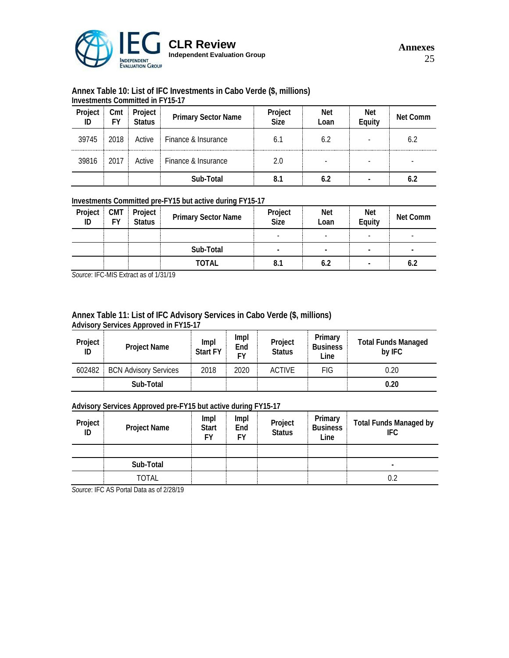

# **Annex Table 10: List of IFC Investments in Cabo Verde (\$, millions)**

|               | Investments Committed in FY15-17 |                          |                            |                        |                    |               |          |  |  |
|---------------|----------------------------------|--------------------------|----------------------------|------------------------|--------------------|---------------|----------|--|--|
| Project<br>ID | Cmt                              | Project<br><b>Status</b> | <b>Primary Sector Name</b> | Project<br><b>Size</b> | <b>Net</b><br>Loan | Net<br>Equity | Net Comm |  |  |
| 39745         | 2018                             | Active                   | Finance & Insurance        | 6.1                    | 6.2                |               | 6.2      |  |  |
| 39816         | 2017                             | Active                   | Finance & Insurance        | 2.0                    |                    |               |          |  |  |
|               |                                  |                          | Sub-Total                  | 8.1                    | 6.2                |               | 6.2      |  |  |

### **Investments Committed pre-FY15 but active during FY15-17**

| Project<br>ID | <b>CMT</b><br>F٧ | Project<br><b>Status</b> | <b>Primary Sector Name</b> | Project<br><b>Size</b>   | <b>Net</b><br>Loan | <b>Net</b><br>Equity | Net Comm |
|---------------|------------------|--------------------------|----------------------------|--------------------------|--------------------|----------------------|----------|
|               |                  |                          |                            | $\overline{\phantom{a}}$ |                    |                      |          |
|               |                  |                          | Sub-Total                  | ٠                        | ۰                  |                      | -        |
|               |                  |                          | TOTAL                      | 8.1                      | 6.2                |                      | 6.2      |

*Source*: IFC-MIS Extract as of 1/31/19

### **Annex Table 11: List of IFC Advisory Services in Cabo Verde (\$, millions) Advisory Services Approved in FY15-17**

| Project<br>ID | <b>Project Name</b>          | Impl<br><b>Start FY</b> | Impl<br>End<br>F٧ | Project<br><b>Status</b> | Primary<br><b>Business</b><br>Line | <b>Total Funds Managed</b><br>by IFC |
|---------------|------------------------------|-------------------------|-------------------|--------------------------|------------------------------------|--------------------------------------|
| 602482        | <b>BCN Advisory Services</b> | 2018                    | 2020              | <b>ACTIVE</b>            | <b>FIG</b>                         | 0.20                                 |
|               | Sub-Total                    |                         |                   |                          |                                    | 0.20                                 |

### **Advisory Services Approved pre-FY15 but active during FY15-17**

| Project<br>ID | <b>Project Name</b> | Impl<br><b>Start</b><br>FY | Impl<br>End<br><b>FY</b> | Project<br>Status | Primary<br><b>Business</b><br>Line | <b>Total Funds Managed by</b><br>IFC. |
|---------------|---------------------|----------------------------|--------------------------|-------------------|------------------------------------|---------------------------------------|
|               |                     |                            |                          |                   |                                    |                                       |
|               | Sub-Total           |                            |                          |                   |                                    | ۰                                     |
|               | TOTAL               |                            |                          |                   |                                    | 0.2                                   |

*Source*: IFC AS Portal Data as of 2/28/19